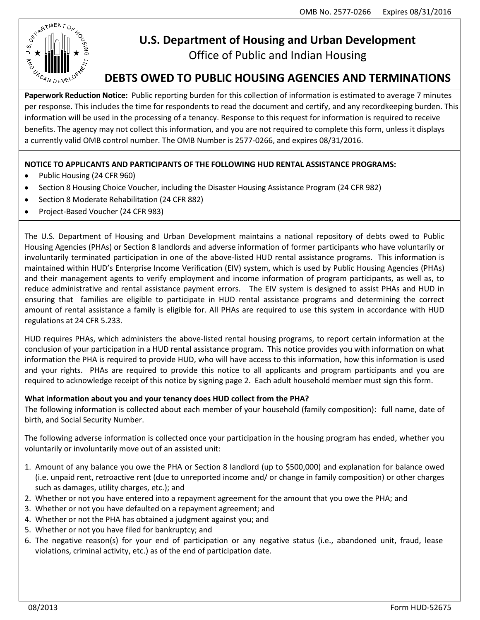

# **U.S. Department of Housing and Urban Development**

Office of Public and Indian Housing

## **DEBTS OWED TO PUBLIC HOUSING AGENCIES AND TERMINATIONS**

**Paperwork Reduction Notice:** Public reporting burden for this collection of information is estimated to average 7 minutes per response. This includes the time for respondents to read the document and certify, and any recordkeeping burden. This information will be used in the processing of a tenancy. Response to this request for information is required to receive benefits. The agency may not collect this information, and you are not required to complete this form, unless it displays a currently valid OMB control number. The OMB Number is 2577‐0266, and expires 08/31/2016.

## **NOTICE TO APPLICANTS AND PARTICIPANTS OF THE FOLLOWING HUD RENTAL ASSISTANCE PROGRAMS:**

- Public Housing (24 CFR 960)  $\bullet$
- $\bullet$ Section 8 Housing Choice Voucher, including the Disaster Housing Assistance Program (24 CFR 982)
- Section 8 Moderate Rehabilitation (24 CFR 882)
- Project-Based Voucher (24 CFR 983)  $\bullet$

The U.S. Department of Housing and Urban Development maintains a national repository of debts owed to Public Housing Agencies (PHAs) or Section 8 landlords and adverse information of former participants who have voluntarily or involuntarily terminated participation in one of the above-listed HUD rental assistance programs. This information is maintained within HUD's Enterprise Income Verification (EIV) system, which is used by Public Housing Agencies (PHAs) and their management agents to verify employment and income information of program participants, as well as, to reduce administrative and rental assistance payment errors. The EIV system is designed to assist PHAs and HUD in ensuring that families are eligible to participate in HUD rental assistance programs and determining the correct amount of rental assistance a family is eligible for. All PHAs are required to use this system in accordance with HUD regulations at 24 CFR 5.233.

HUD requires PHAs, which administers the above-listed rental housing programs, to report certain information at the conclusion of your participation in a HUD rental assistance program. This notice provides you with information on what information the PHA is required to provide HUD, who will have access to this information, how this information is used and your rights. PHAs are required to provide this notice to all applicants and program participants and you are required to acknowledge receipt of this notice by signing page 2. Each adult household member must sign this form.

## **What information about you and your tenancy does HUD collect from the PHA?**

The following information is collected about each member of your household (family composition): full name, date of birth, and Social Security Number.

The following adverse information is collected once your participation in the housing program has ended, whether you voluntarily or involuntarily move out of an assisted unit:

- 1. Amount of any balance you owe the PHA or Section 8 landlord (up to \$500,000) and explanation for balance owed (i.e. unpaid rent, retroactive rent (due to unreported income and/ or change in family composition) or other charges such as damages, utility charges, etc.); and
- 2. Whether or not you have entered into a repayment agreement for the amount that you owe the PHA; and
- 3. Whether or not you have defaulted on a repayment agreement; and
- 4. Whether or not the PHA has obtained a judgment against you; and
- 5. Whether or not you have filed for bankruptcy; and
- 6. The negative reason(s) for your end of participation or any negative status (i.e., abandoned unit, fraud, lease violations, criminal activity, etc.) as of the end of participation date.